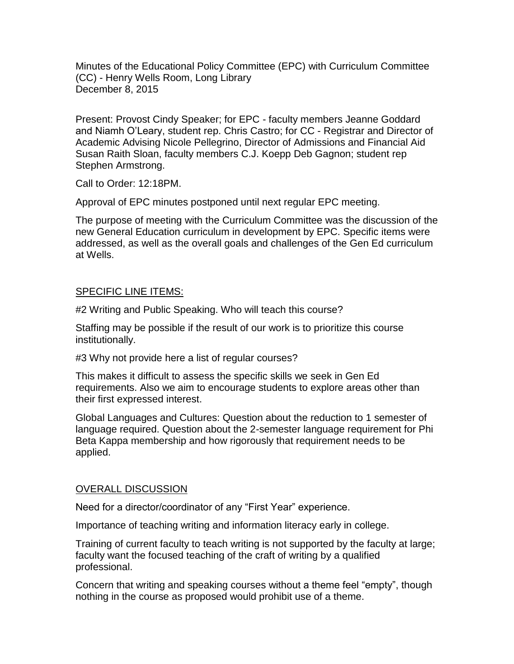Minutes of the Educational Policy Committee (EPC) with Curriculum Committee (CC) - Henry Wells Room, Long Library December 8, 2015

Present: Provost Cindy Speaker; for EPC - faculty members Jeanne Goddard and Niamh O'Leary, student rep. Chris Castro; for CC - Registrar and Director of Academic Advising Nicole Pellegrino, Director of Admissions and Financial Aid Susan Raith Sloan, faculty members C.J. Koepp Deb Gagnon; student rep Stephen Armstrong.

Call to Order: 12:18PM.

Approval of EPC minutes postponed until next regular EPC meeting.

The purpose of meeting with the Curriculum Committee was the discussion of the new General Education curriculum in development by EPC. Specific items were addressed, as well as the overall goals and challenges of the Gen Ed curriculum at Wells.

## SPECIFIC LINE ITEMS:

#2 Writing and Public Speaking. Who will teach this course?

Staffing may be possible if the result of our work is to prioritize this course institutionally.

#3 Why not provide here a list of regular courses?

This makes it difficult to assess the specific skills we seek in Gen Ed requirements. Also we aim to encourage students to explore areas other than their first expressed interest.

Global Languages and Cultures: Question about the reduction to 1 semester of language required. Question about the 2-semester language requirement for Phi Beta Kappa membership and how rigorously that requirement needs to be applied.

## OVERALL DISCUSSION

Need for a director/coordinator of any "First Year" experience.

Importance of teaching writing and information literacy early in college.

Training of current faculty to teach writing is not supported by the faculty at large; faculty want the focused teaching of the craft of writing by a qualified professional.

Concern that writing and speaking courses without a theme feel "empty", though nothing in the course as proposed would prohibit use of a theme.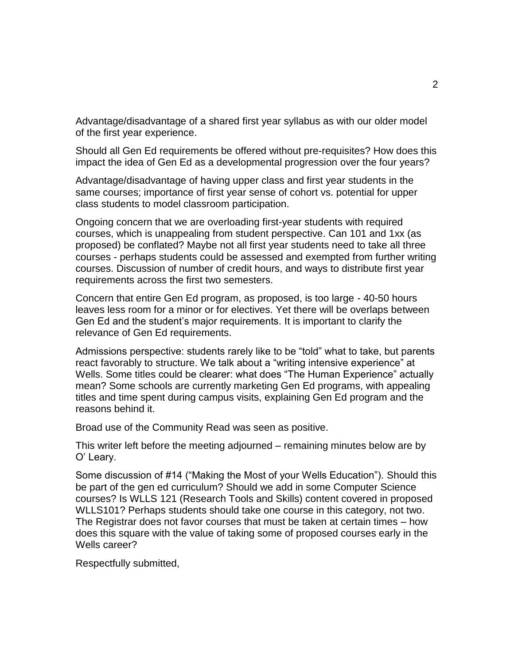Advantage/disadvantage of a shared first year syllabus as with our older model of the first year experience.

Should all Gen Ed requirements be offered without pre-requisites? How does this impact the idea of Gen Ed as a developmental progression over the four years?

Advantage/disadvantage of having upper class and first year students in the same courses; importance of first year sense of cohort vs. potential for upper class students to model classroom participation.

Ongoing concern that we are overloading first-year students with required courses, which is unappealing from student perspective. Can 101 and 1xx (as proposed) be conflated? Maybe not all first year students need to take all three courses - perhaps students could be assessed and exempted from further writing courses. Discussion of number of credit hours, and ways to distribute first year requirements across the first two semesters.

Concern that entire Gen Ed program, as proposed, is too large - 40-50 hours leaves less room for a minor or for electives. Yet there will be overlaps between Gen Ed and the student's major requirements. It is important to clarify the relevance of Gen Ed requirements.

Admissions perspective: students rarely like to be "told" what to take, but parents react favorably to structure. We talk about a "writing intensive experience" at Wells. Some titles could be clearer: what does "The Human Experience" actually mean? Some schools are currently marketing Gen Ed programs, with appealing titles and time spent during campus visits, explaining Gen Ed program and the reasons behind it.

Broad use of the Community Read was seen as positive.

This writer left before the meeting adjourned – remaining minutes below are by O' Leary.

Some discussion of #14 ("Making the Most of your Wells Education"). Should this be part of the gen ed curriculum? Should we add in some Computer Science courses? Is WLLS 121 (Research Tools and Skills) content covered in proposed WLLS101? Perhaps students should take one course in this category, not two. The Registrar does not favor courses that must be taken at certain times – how does this square with the value of taking some of proposed courses early in the Wells career?

Respectfully submitted,